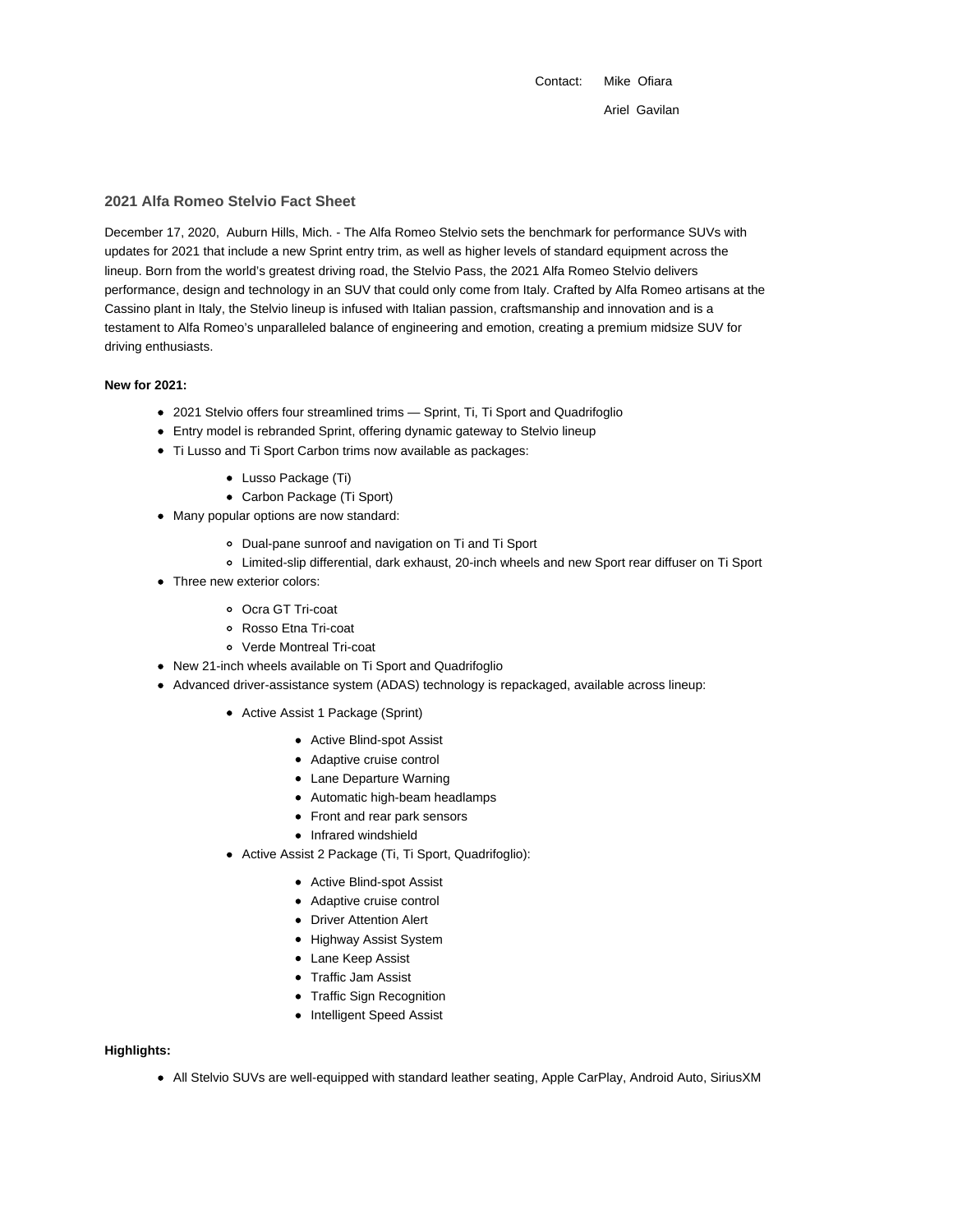Contact: Mike Ofiara Ariel Gavilan

## **2021 Alfa Romeo Stelvio Fact Sheet**

December 17, 2020, Auburn Hills, Mich. - The Alfa Romeo Stelvio sets the benchmark for performance SUVs with updates for 2021 that include a new Sprint entry trim, as well as higher levels of standard equipment across the lineup. Born from the world's greatest driving road, the Stelvio Pass, the 2021 Alfa Romeo Stelvio delivers performance, design and technology in an SUV that could only come from Italy. Crafted by Alfa Romeo artisans at the Cassino plant in Italy, the Stelvio lineup is infused with Italian passion, craftsmanship and innovation and is a testament to Alfa Romeo's unparalleled balance of engineering and emotion, creating a premium midsize SUV for driving enthusiasts.

## **New for 2021:**

- 2021 Stelvio offers four streamlined trims Sprint, Ti, Ti Sport and Quadrifoglio
- Entry model is rebranded Sprint, offering dynamic gateway to Stelvio lineup
- Ti Lusso and Ti Sport Carbon trims now available as packages:
	- Lusso Package (Ti)
	- Carbon Package (Ti Sport)
- Many popular options are now standard:
	- Dual-pane sunroof and navigation on Ti and Ti Sport
	- Limited-slip differential, dark exhaust, 20-inch wheels and new Sport rear diffuser on Ti Sport
- Three new exterior colors:
	- Ocra GT Tri-coat
	- Rosso Etna Tri-coat
	- Verde Montreal Tri-coat
- New 21-inch wheels available on Ti Sport and Quadrifoglio
- Advanced driver-assistance system (ADAS) technology is repackaged, available across lineup:
	- Active Assist 1 Package (Sprint)
		- Active Blind-spot Assist
		- Adaptive cruise control
		- Lane Departure Warning
		- Automatic high-beam headlamps
		- Front and rear park sensors
		- Infrared windshield
	- Active Assist 2 Package (Ti, Ti Sport, Quadrifoglio):
		- Active Blind-spot Assist
		- Adaptive cruise control
		- Driver Attention Alert
		- Highway Assist System
		- Lane Keep Assist
		- Traffic Jam Assist
		- Traffic Sign Recognition
		- Intelligent Speed Assist

# **Highlights:**

All Stelvio SUVs are well-equipped with standard leather seating, Apple CarPlay, Android Auto, SiriusXM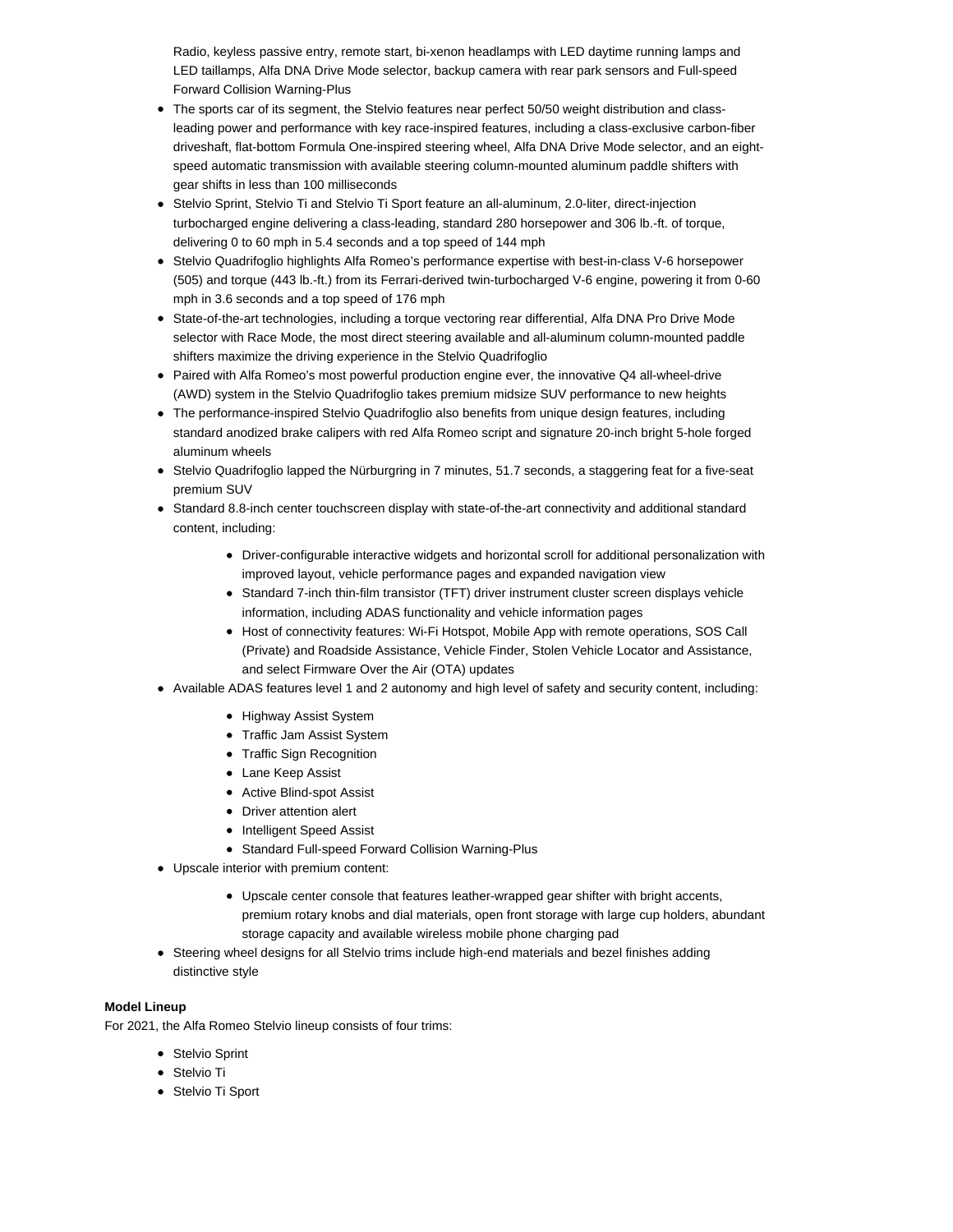Radio, keyless passive entry, remote start, bi-xenon headlamps with LED daytime running lamps and LED taillamps, Alfa DNA Drive Mode selector, backup camera with rear park sensors and Full-speed Forward Collision Warning-Plus

- The sports car of its segment, the Stelvio features near perfect 50/50 weight distribution and class- $\bullet$ leading power and performance with key race-inspired features, including a class-exclusive carbon-fiber driveshaft, flat-bottom Formula One-inspired steering wheel, Alfa DNA Drive Mode selector, and an eightspeed automatic transmission with available steering column-mounted aluminum paddle shifters with gear shifts in less than 100 milliseconds
- Stelvio Sprint, Stelvio Ti and Stelvio Ti Sport feature an all-aluminum, 2.0-liter, direct-injection turbocharged engine delivering a class-leading, standard 280 horsepower and 306 lb.-ft. of torque, delivering 0 to 60 mph in 5.4 seconds and a top speed of 144 mph
- Stelvio Quadrifoglio highlights Alfa Romeo's performance expertise with best-in-class V-6 horsepower (505) and torque (443 lb.-ft.) from its Ferrari-derived twin-turbocharged V-6 engine, powering it from 0-60 mph in 3.6 seconds and a top speed of 176 mph
- State-of-the-art technologies, including a torque vectoring rear differential, Alfa DNA Pro Drive Mode selector with Race Mode, the most direct steering available and all-aluminum column-mounted paddle shifters maximize the driving experience in the Stelvio Quadrifoglio
- Paired with Alfa Romeo's most powerful production engine ever, the innovative Q4 all-wheel-drive (AWD) system in the Stelvio Quadrifoglio takes premium midsize SUV performance to new heights
- The performance-inspired Stelvio Quadrifoglio also benefits from unique design features, including standard anodized brake calipers with red Alfa Romeo script and signature 20-inch bright 5-hole forged aluminum wheels
- Stelvio Quadrifoglio lapped the Nürburgring in 7 minutes, 51.7 seconds, a staggering feat for a five-seat premium SUV
- Standard 8.8-inch center touchscreen display with state-of-the-art connectivity and additional standard content, including:
	- Driver-configurable interactive widgets and horizontal scroll for additional personalization with improved layout, vehicle performance pages and expanded navigation view
	- Standard 7-inch thin-film transistor (TFT) driver instrument cluster screen displays vehicle information, including ADAS functionality and vehicle information pages
	- Host of connectivity features: Wi-Fi Hotspot, Mobile App with remote operations, SOS Call (Private) and Roadside Assistance, Vehicle Finder, Stolen Vehicle Locator and Assistance, and select Firmware Over the Air (OTA) updates
- Available ADAS features level 1 and 2 autonomy and high level of safety and security content, including:
	- Highway Assist System
	- Traffic Jam Assist System
	- Traffic Sign Recognition
	- Lane Keep Assist
	- Active Blind-spot Assist
	- Driver attention alert
	- Intelligent Speed Assist
	- Standard Full-speed Forward Collision Warning-Plus
- Upscale interior with premium content:
	- Upscale center console that features leather-wrapped gear shifter with bright accents, premium rotary knobs and dial materials, open front storage with large cup holders, abundant storage capacity and available wireless mobile phone charging pad
- Steering wheel designs for all Stelvio trims include high-end materials and bezel finishes adding distinctive style

# **Model Lineup**

For 2021, the Alfa Romeo Stelvio lineup consists of four trims:

- Stelvio Sprint
- Stelvio Ti
- Stelvio Ti Sport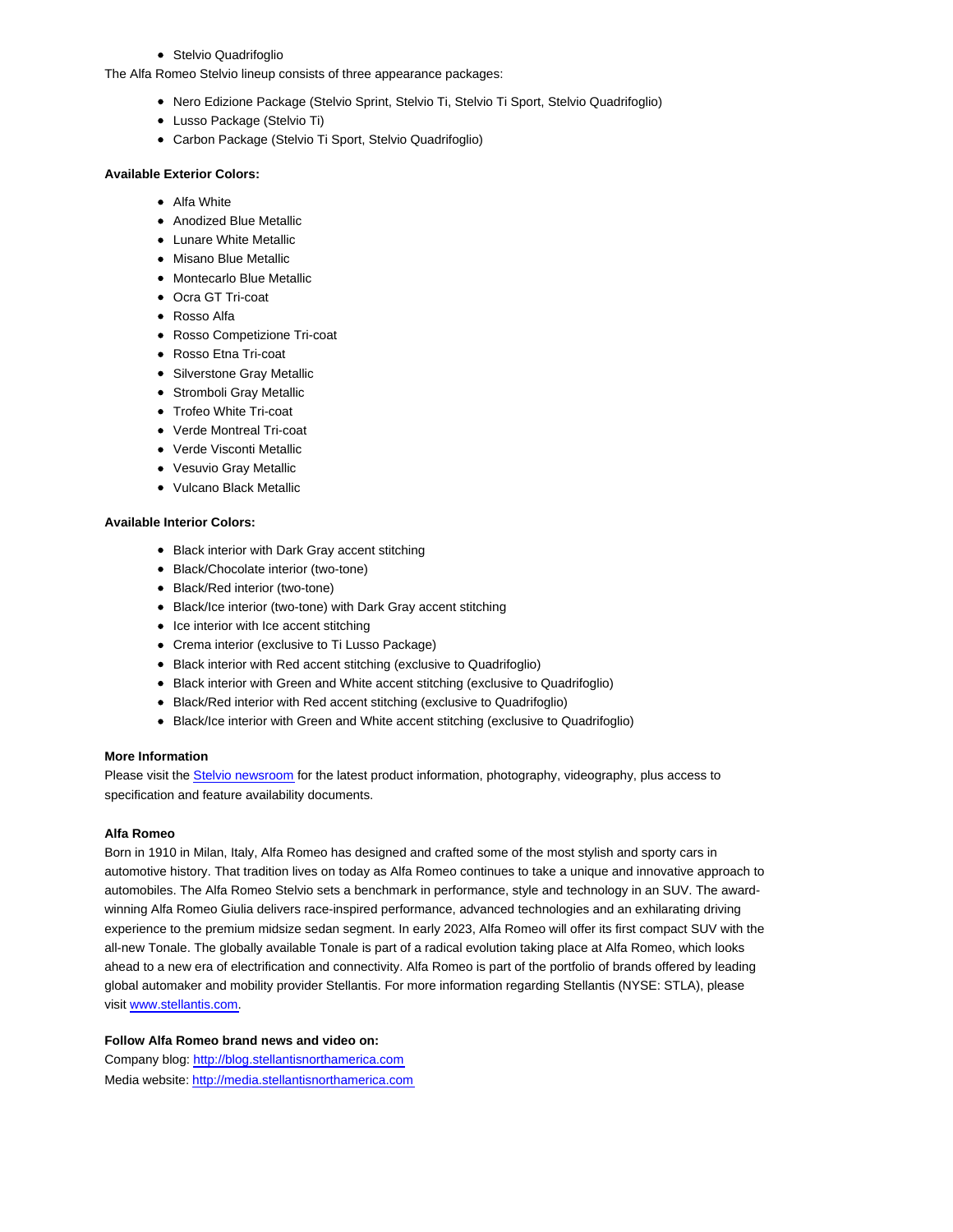Stelvio Quadrifoglio

The Alfa Romeo Stelvio lineup consists of three appearance packages:

- Nero Edizione Package (Stelvio Sprint, Stelvio Ti, Stelvio Ti Sport, Stelvio Quadrifoglio)
- Lusso Package (Stelvio Ti)
- Carbon Package (Stelvio Ti Sport, Stelvio Quadrifoglio)

### **Available Exterior Colors:**

- Alfa White
- Anodized Blue Metallic
- Lunare White Metallic
- Misano Blue Metallic
- Montecarlo Blue Metallic
- Ocra GT Tri-coat
- Rosso Alfa
- Rosso Competizione Tri-coat
- Rosso Etna Tri-coat
- Silverstone Gray Metallic
- Stromboli Gray Metallic
- Trofeo White Tri-coat
- Verde Montreal Tri-coat
- Verde Visconti Metallic
- Vesuvio Gray Metallic
- Vulcano Black Metallic

## **Available Interior Colors:**

- Black interior with Dark Gray accent stitching
- Black/Chocolate interior (two-tone)
- Black/Red interior (two-tone)
- Black/Ice interior (two-tone) with Dark Gray accent stitching
- Ice interior with Ice accent stitching
- Crema interior (exclusive to Ti Lusso Package)
- Black interior with Red accent stitching (exclusive to Quadrifoglio)
- Black interior with Green and White accent stitching (exclusive to Quadrifoglio)
- Black/Red interior with Red accent stitching (exclusive to Quadrifoglio)
- Black/Ice interior with Green and White accent stitching (exclusive to Quadrifoglio)

### **More Information**

Please visit the Stelvio newsroom for the latest product information, photography, videography, plus access to specification and feature availability documents.

#### **Alfa Romeo**

Born in 1910 in Milan, Italy, Alfa Romeo has designed and crafted some of the most stylish and sporty cars in automotive history. That tradition lives on today as Alfa Romeo continues to take a unique and innovative approach to automobiles. The Alfa Romeo Stelvio sets a benchmark in performance, style and technology in an SUV. The awardwinning Alfa Romeo Giulia delivers race-inspired performance, advanced technologies and an exhilarating driving experience to the premium midsize sedan segment. In early 2023, Alfa Romeo will offer its first compact SUV with the all-new Tonale. The globally available Tonale is part of a radical evolution taking place at Alfa Romeo, which looks ahead to a new era of electrification and connectivity. Alfa Romeo is part of the portfolio of brands offered by leading global automaker and mobility provider Stellantis. For more information regarding Stellantis (NYSE: STLA), please visit www.stellantis.com.

### **Follow Alfa Romeo brand news and video on:**

Company blog: http://blog.stellantisnorthamerica.com Media website: http://media.stellantisnorthamerica.com